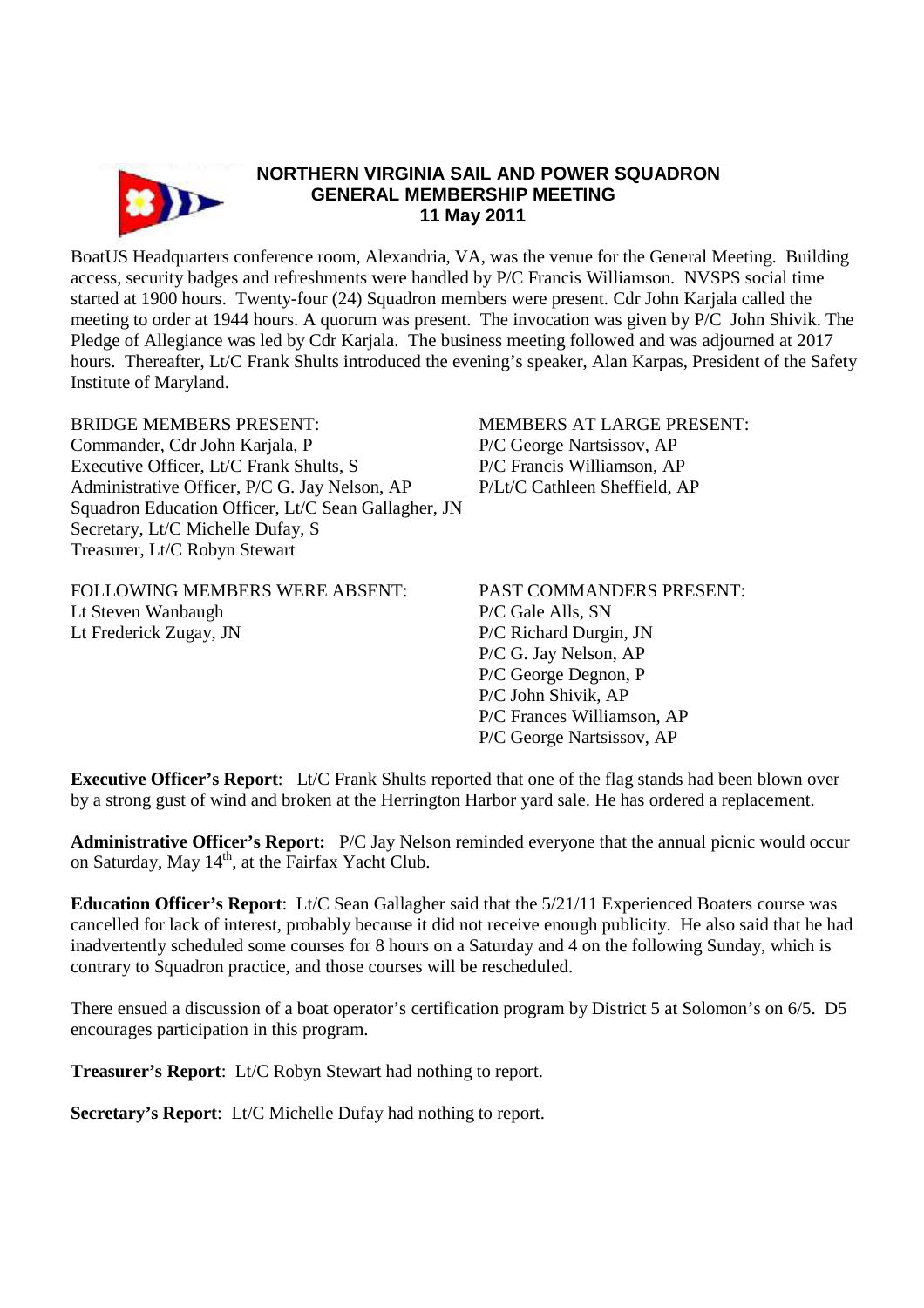

## **NORTHERN VIRGINIA SAIL AND POWER SQUADRON GENERAL MEMBERSHIP MEETING 11 May 2011**

BoatUS Headquarters conference room, Alexandria, VA, was the venue for the General Meeting. Building access, security badges and refreshments were handled by P/C Francis Williamson. NVSPS social time started at 1900 hours. Twenty-four (24) Squadron members were present. Cdr John Karjala called the meeting to order at 1944 hours. A quorum was present. The invocation was given by P/C John Shivik. The Pledge of Allegiance was led by Cdr Karjala. The business meeting followed and was adjourned at 2017 hours. Thereafter, Lt/C Frank Shults introduced the evening's speaker, Alan Karpas, President of the Safety Institute of Maryland.

Commander, Cdr John Karjala, P P/C George Nartsissov, AP Executive Officer, Lt/C Frank Shults, S<br>
P/C Francis Williamson, AP Administrative Officer, P/C G. Jay Nelson, AP P/Lt/C Cathleen Sheffield, AP Squadron Education Officer, Lt/C Sean Gallagher, JN Secretary, Lt/C Michelle Dufay, S Treasurer, Lt/C Robyn Stewart

FOLLOWING MEMBERS WERE ABSENT: PAST COMMANDERS PRESENT: Lt Steven Wanbaugh P/C Gale Alls, SN Lt Frederick Zugay, JN P/C Richard Durgin, JN

BRIDGE MEMBERS PRESENT: MEMBERS AT LARGE PRESENT:

 P/C G. Jay Nelson, AP P/C George Degnon, P P/C John Shivik, AP P/C Frances Williamson, AP P/C George Nartsissov, AP

**Executive Officer's Report**: Lt/C Frank Shults reported that one of the flag stands had been blown over by a strong gust of wind and broken at the Herrington Harbor yard sale. He has ordered a replacement.

**Administrative Officer's Report:** P/C Jay Nelson reminded everyone that the annual picnic would occur on Saturday, May  $14<sup>th</sup>$ , at the Fairfax Yacht Club.

**Education Officer's Report**: Lt/C Sean Gallagher said that the 5/21/11 Experienced Boaters course was cancelled for lack of interest, probably because it did not receive enough publicity. He also said that he had inadvertently scheduled some courses for 8 hours on a Saturday and 4 on the following Sunday, which is contrary to Squadron practice, and those courses will be rescheduled.

There ensued a discussion of a boat operator's certification program by District 5 at Solomon's on 6/5. D5 encourages participation in this program.

**Treasurer's Report**: Lt/C Robyn Stewart had nothing to report.

**Secretary's Report**: Lt/C Michelle Dufay had nothing to report.